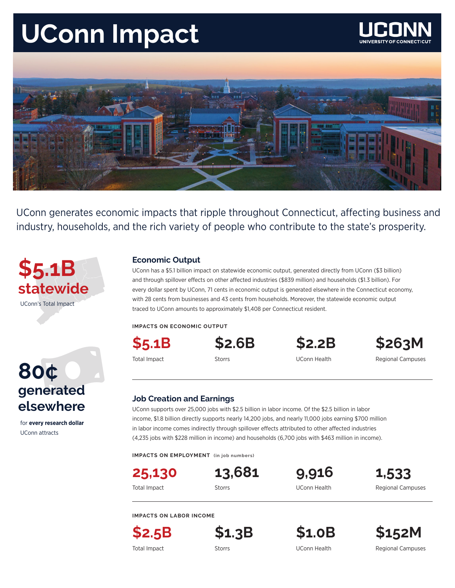# **UConn Impact**





UConn generates economic impacts that ripple throughout Connecticut, affecting business and industry, households, and the rich variety of people who contribute to the state's prosperity.



### **Economic Output**

UConn has a \$5.1 billion impact on statewide economic output, generated directly from UConn (\$3 billion) and through spillover effects on other affected industries (\$839 million) and households (\$1.3 billion). For every dollar spent by UConn, 71 cents in economic output is generated elsewhere in the Connecticut economy, with 28 cents from businesses and 43 cents from households. Moreover, the statewide economic output traced to UConn amounts to approximately \$1,408 per Connecticut resident.

**IMPACTS ON ECONOMIC OUTPUT**

**\$5.1B**



**\$2.6B \$2.2B \$263M**

Total Impact **Storrs** Storrs Storrs UConn Health Regional Campuses

### 80¢<br>generated **80¢ elsewhere**

for **every research dollar** UConn attracts

### **Job Creation and Earnings**

UConn supports over 25,000 jobs with \$2.5 billion in labor income. Of the \$2.5 billion in labor income, \$1.8 billion directly supports nearly 14,200 jobs, and nearly 11,000 jobs earning \$700 million in labor income comes indirectly through spillover effects attributed to other affected industries (4,235 jobs with \$228 million in income) and households (6,700 jobs with \$463 million in income).

**IMPACTS ON EMPLOYMENT (in job numbers)**

**25,130**

**13,681 9,916 1,533**

Total Impact **Storrs Storrs Example 20 Storrs** COM Health Regional Campuses

**IMPACTS ON LABOR INCOME**

**\$2.5B**



**\$1.3B \$1.0B \$152M**

Total Impact **Storrs Storrs Communist COD** Storrs Regional Campuses Connection Regional Campuses